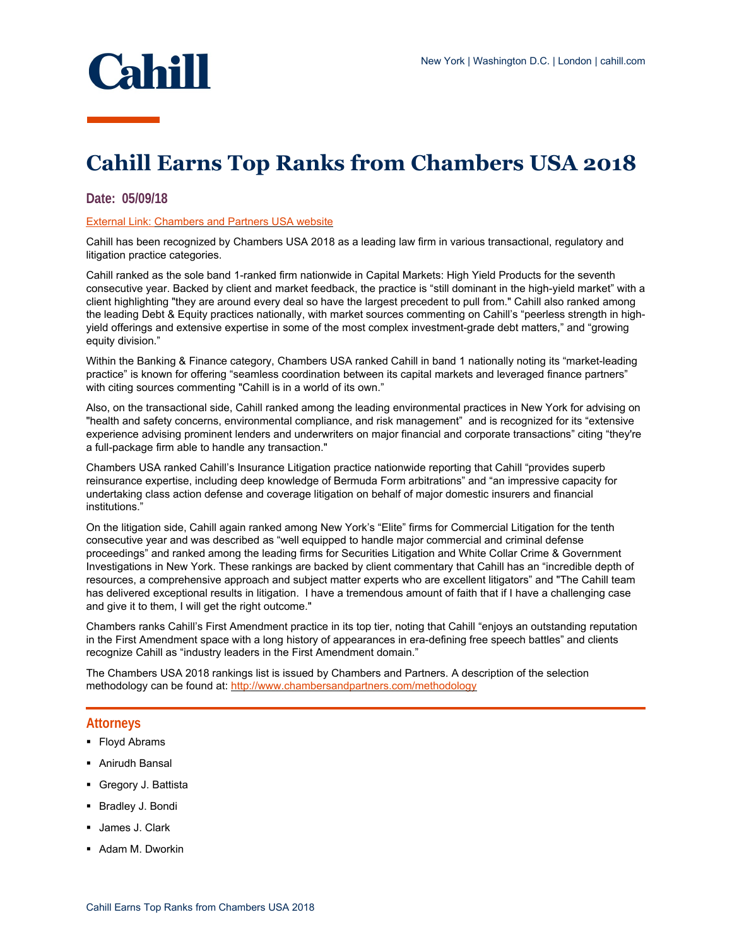

## **Cahill Earns Top Ranks from Chambers USA 2018**

## **Date: 05/09/18**

## External Link: [Chambers and Partners USA website](https://www.chambersandpartners.com/USA/firm/3549/cahill-gordon-reindel)

Cahill has been recognized by Chambers USA 2018 as a leading law firm in various transactional, regulatory and litigation practice categories.

Cahill ranked as the sole band 1-ranked firm nationwide in Capital Markets: High Yield Products for the seventh consecutive year. Backed by client and market feedback, the practice is "still dominant in the high-yield market" with a client highlighting "they are around every deal so have the largest precedent to pull from." Cahill also ranked among the leading Debt & Equity practices nationally, with market sources commenting on Cahill's "peerless strength in highyield offerings and extensive expertise in some of the most complex investment-grade debt matters," and "growing equity division."

Within the Banking & Finance category, Chambers USA ranked Cahill in band 1 nationally noting its "market-leading practice" is known for offering "seamless coordination between its capital markets and leveraged finance partners" with citing sources commenting "Cahill is in a world of its own."

Also, on the transactional side, Cahill ranked among the leading environmental practices in New York for advising on "health and safety concerns, environmental compliance, and risk management" and is recognized for its "extensive experience advising prominent lenders and underwriters on major financial and corporate transactions" citing "they're a full-package firm able to handle any transaction."

Chambers USA ranked Cahill's Insurance Litigation practice nationwide reporting that Cahill "provides superb reinsurance expertise, including deep knowledge of Bermuda Form arbitrations" and "an impressive capacity for undertaking class action defense and coverage litigation on behalf of major domestic insurers and financial institutions."

On the litigation side, Cahill again ranked among New York's "Elite" firms for Commercial Litigation for the tenth consecutive year and was described as "well equipped to handle major commercial and criminal defense proceedings" and ranked among the leading firms for Securities Litigation and White Collar Crime & Government Investigations in New York. These rankings are backed by client commentary that Cahill has an "incredible depth of resources, a comprehensive approach and subject matter experts who are excellent litigators" and "The Cahill team has delivered exceptional results in litigation. I have a tremendous amount of faith that if I have a challenging case and give it to them, I will get the right outcome."

Chambers ranks Cahill's First Amendment practice in its top tier, noting that Cahill "enjoys an outstanding reputation in the First Amendment space with a long history of appearances in era-defining free speech battles" and clients recognize Cahill as "industry leaders in the First Amendment domain."

The Chambers USA 2018 rankings list is issued by Chambers and Partners. A description of the selection methodology can be found at:<http://www.chambersandpartners.com/methodology>

## **Attorneys**

- **Floyd Abrams**
- Anirudh Bansal
- **Gregory J. Battista**
- Bradley J. Bondi
- **James J. Clark**
- **Adam M. Dworkin**